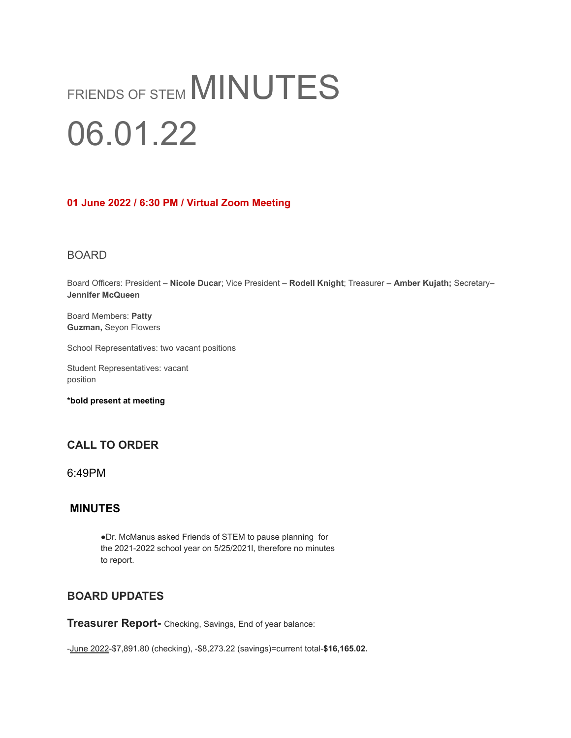# FRIENDS OF STEM MINUTES 06.01.22

#### **01 June 2022 / 6:30 PM / Virtual Zoom Meeting**

#### BOARD

Board Officers: President – **Nicole Ducar**; Vice President – **Rodell Knight**; Treasurer – **Amber Kujath;** Secretary– **Jennifer McQueen**

Board Members: **Patty Guzman,** Seyon Flowers

School Representatives: two vacant positions

Student Representatives: vacant position

**\*bold present at meeting**

# **CALL TO ORDER**

6:49PM

## **MINUTES**

●Dr. McManus asked Friends of STEM to pause planning for the 2021-2022 school year on 5/25/2021l, therefore no minutes to report.

# **BOARD UPDATES**

**Treasurer Report-** Checking, Savings, End of year balance:

-June 2022-\$7,891.80 (checking), -\$8,273.22 (savings)=current total-**\$16,165.02.**